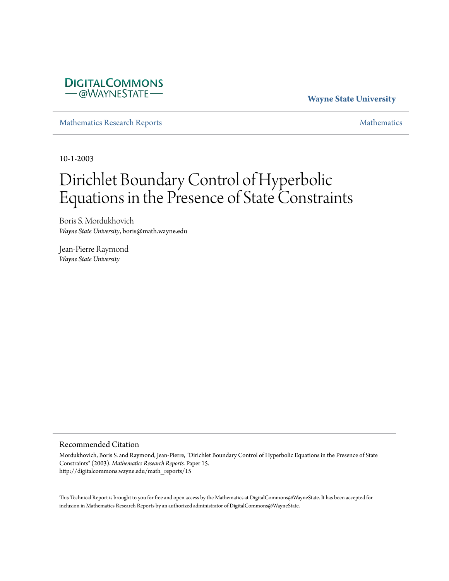

**Wayne State University**

[Mathematics Research Reports](http://digitalcommons.wayne.edu/math_reports) [Mathematics](http://digitalcommons.wayne.edu/math)

10-1-2003

# Dirichlet Boundary Control of Hyperbolic Equations in the Presence of State Constraints

Boris S. Mordukhovich *Wayne State University*, boris@math.wayne.edu

Jean-Pierre Raymond *Wayne State University*

### Recommended Citation

Mordukhovich, Boris S. and Raymond, Jean-Pierre, "Dirichlet Boundary Control of Hyperbolic Equations in the Presence of State Constraints" (2003). *Mathematics Research Reports.* Paper 15. http://digitalcommons.wayne.edu/math\_reports/15

This Technical Report is brought to you for free and open access by the Mathematics at DigitalCommons@WayneState. It has been accepted for inclusion in Mathematics Research Reports by an authorized administrator of DigitalCommons@WayneState.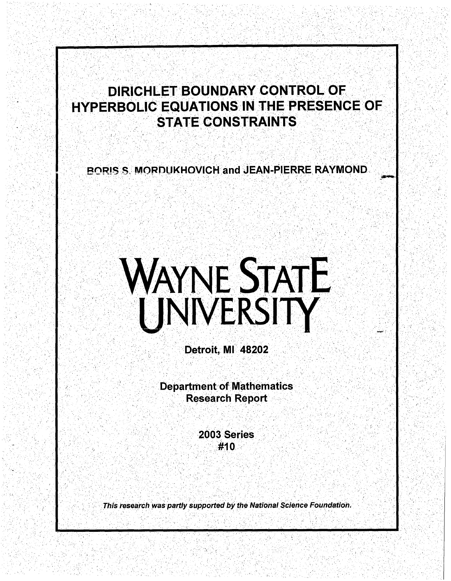# DIRICHLET BOUNDARY CONTROL OF<br>HYPERBOLIC EQUATIONS IN THE PRESENCE OF<br>STATE CONSTRAINTS •,'•<,:,  $, \ldots$

 $\mathbb{R}^n$ ' ' .

,· '

I' with The suif I state Winds<br>A Part Senard Control of the Senar

 $\mathcal{N}_s \cdot \mathcal{V}_t$ 

. . . . . .  $\sim$ 

. ' ·. ' ' *r* ,'-

) .,: '

,\_,.\_. *·:,.* 

-~ <sup>J</sup>:.

' . . ' ·'

 $\mathcal{E}_{\rm{max}}$ 

 $\mathcal{F} \subset \mathcal{F}$ 

 $\lambda_{\rm eff}$  in the  $\lambda_{\rm eff}$  $\Im \mathbb{R}$ 

' ' ~ .· . . \ .. ' ,'

") ,.•.

,.' I • ~ • I

•• . l c. ·,,,; ••

··.- .. r ...

•• -· *1-*

-.· J • J ·' •" :. • .l. ·•

·, .

••· .j. \· .'

 $\mathbb{R}^n \times \mathbb{R}^n$ ' ·\'.; .· ' .

 $\sim$   $\sim$ 

 $\mathcal{P}^{\text{in}}$  ,  $\mathcal{P}^{\text{in}}$ 

BORIS S, MORDUKHOVICH and JEAN-PIERRE RAYMOND.

ri - .<br>Patri - en 1955, Andre

-- . .~· .

# WAYNE STATE<br>UNIVERSITY

Detroit, MI 48202

Department of Mathematics **Research Report** ' • *j* • •• . .... -. '

', '·

, 1941, 1940,<br>1940, 1940, 1940, 1940, 1940, 1940, 1940, 1940, 1940, 1940, 1940, 1940, 1940, 1940, 1940, 1940, 1<br>1954, 1940, 1940, 1940, 1940, 1940, 1940, 1940, 1940, 1940, 1940, 1940, 1940, 1940, 1940, 1940, 1940, 1940, 1 **2003 Series** #10

\ .' • • /r ' <sup>~</sup>

> " \_)·  $\sim$   $\sigma$

This research was partly supported by the National Science Foundation.

 $\mathcal{C}\geq \mathcal{C}$  .

*'J'* .

 $\sim$  7  $\gamma$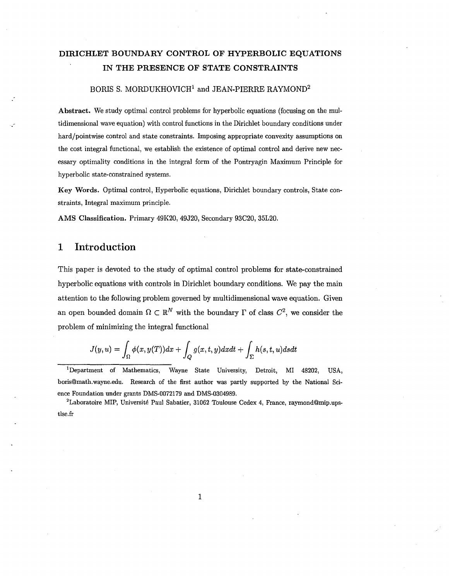### **DIRICHLET BOUNDARY CONTROL OF HYPERBOLIC EQUATIONS IN THE PRESENCE OF STATE CONSTRAINTS**

### BORIS S. MORDUKHOVICH<sup>1</sup> and JEAN-PIERRE RAYMOND<sup>2</sup>

Abstract. We study optimal control problems for hyperbolic equations (focusing on the multidimensional wave equation) with control functions in the Dirichlet boundary conditions under hard/pointwise control and state constraints. Imposing appropriate convexity assumptions on the cost integral functional, we establish the existence of optimal control and derive new necessary optimality conditions in the integral form of the Pontryagin Maximum Principle for hyperbolic state-constrained systems.

Key Words. Optimal control, Hyperbolic equations, Dirichlet boundary controls, State constraints, Integral maximum principle.

AMS Classification. Primary 49K20, 49J20, Secondary 93C20, 35L20.

### **1 Introduction**

."

This paper is devoted to the study of optimal control problems for state-constrained hyperbolic equations with controls in Dirichlet boundary conditions. We pay the main attention to the following problem governed by multidimensional wave equation. Given an open bounded domain  $\Omega \subset \mathbb{R}^N$  with the boundary  $\Gamma$  of class  $C^2$ , we consider the problem of minimizing the integral functional

$$
J(y,u)=\int_{\Omega}\phi(x,y(T))dx+\int_{Q}g(x,t,y)dxdt+\int_{\Sigma}h(s,t,u)dsdt
$$

1 Department of Mathematics, Wayne State University, Detroit, MI 48202, USA, boris@math.wayne.edu. Research of the first author was partly supported by the National Science Foundation under grants DMS-0072179 and DMS-0304989.

 ${}^{2}$ Laboratoire MIP, Université Paul Sabatier, 31062 Toulouse Cedex 4, France, raymond@mip.upstlse.fr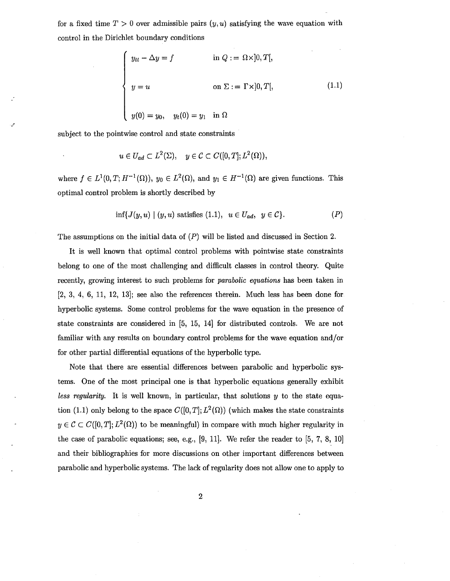for a fixed time  $T > 0$  over admissible pairs  $(y, u)$  satisfying the wave equation with control in the Dirichlet boundary conditions

$$
\begin{cases}\n y_{tt} - \Delta y = f & \text{in } Q := \Omega \times ]0, T[, \\
y = u & \text{on } \Sigma := \Gamma \times ]0, T[, \\
y(0) = y_0, \quad y_t(0) = y_1 \quad \text{in } \Omega\n\end{cases}
$$
\n(1.1)

subject to the pointwise control and state constraints

*.r* 

$$
u\in U_{ad}\subset L^2(\Sigma),\quad y\in\mathcal{C}\subset C([0,T];L^2(\Omega)),
$$

where  $f \in L^1(0,T; H^{-1}(\Omega))$ ,  $y_0 \in L^2(\Omega)$ , and  $y_1 \in H^{-1}(\Omega)$  are given functions. This optimal control problem is shortly described by

$$
\inf \{ J(y, u) \mid (y, u) \text{ satisfies (1.1)}, \ u \in U_{ad}, \ y \in \mathcal{C} \}. \tag{P}
$$

The assumptions on the initial data of (P) will be listed and discussed in Section 2.

It is well known that optimal control problems with pointwise state constraints belong to one of the most challenging and difficult classes in control theory. Quite recently, growing interest to such problems for *parabolic equations* has been taken in [2, 3, 4, 6, 11, 12, 13); see also the references therein. Much less has been done for hyperbolic systems. Some control problems for the wave equation in the presence of state constraints are considered in [5, 15, 14) for distributed controls. We are not familiar with any results on boundary control problems for the wave equation and/or for other partial differential equations of the hyperbolic type.

Note that there are essential differences between parabolic and hyperbolic systems. One of the most principal one is that hyperbolic equations generally exhibit *less regularity.* It is well known, in particular, that solutions *y* to the state equation (1.1) only belong to the space  $C([0, T]; L^2(\Omega))$  (which makes the state constraints  $y \in \mathcal{C} \subset C([0,T]; L^2(\Omega))$  to be meaningful) in compare with much higher regularity in the case of parabolic equations; see, e.g., [9, 11). We refer the reader to [5, 7, 8, 10) and their bibliographies for more discussions on other important differences between parabolic and hyperbolic systems. The lack of regularity does not allow one to apply to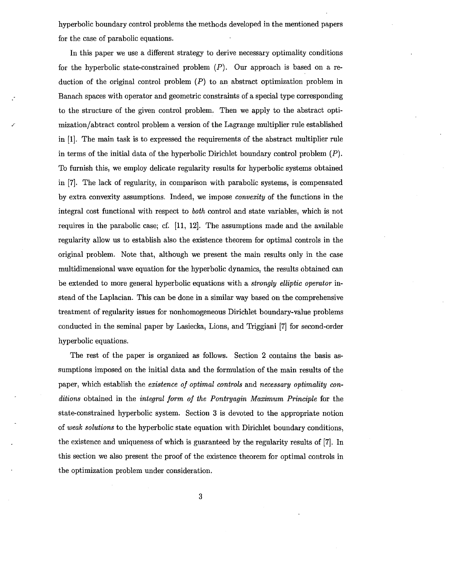hyperbolic boundary control problems the methods developed in the mentioned papers for the case of parabolic equations.

In this paper we use a different strategy to derive necessary optimality conditions for the hyperbolic state-constrained problem  $(P)$ . Our approach is based on a reduction of the original control problem  $(P)$  to an abstract optimization problem in Banach spaces with operator and geometric constraints of a special type corresponding to the structure of the given control problem. Then we apply to the abstract optimization/abtract control problem a version of the Lagrange multiplier rule established in [1). The main task is to expressed the requirements of the abstract multiplier rule in terms of the initial data of the hyperbolic Dirichlet boundary control problem  $(P)$ . To furnish this, we employ delicate regularity results for hyperbolic systems obtained in [7). The lack of regularity, in comparison with parabolic systems, is compensated by extra convexity assumptions. Indeed, we impose *convexity* of the functions in the integral cost functional with respect to *both* control and state variables, which is not requires in the parabolic case; cf. [11, 12). The assumptions made and the available regularity allow us to establish also the existence theorem for optimal controls in the original problem. Note that, although we present the main results only in the case multidimensional wave equation for the hyperbolic dynamics, the results obtained can be extended to more general hyperbolic equations with a *strongly elliptic operator* instead of the Laplacian. This can be done in a similar way based on the comprehensive treatment of regularity issues for nonhomogeneous Dirichlet boundary-value problems conducted in the seminal paper by Lasiecka, Lions, and Triggiani [7) for second-order hyperbolic equations.

The rest of the paper is organized as follows. Section 2 contains the basis assumptions imposed on the initial data and the formulation of the main results of the paper, which establish the *existence of optimal controls* and *necessary optimality conditions* obtained in the *integral form of the Pontryagin Maximum Principle* for the state-constrained hyperbolic system. Section 3 is devoted to the appropriate notion of *weak solutions* to the hyperbolic state equation with Dirichlet boundary conditions, the existence and uniqueness of which is guaranteed by the regularity results of [7). In this section we also present the proof of the existence theorem for optimal controls in the optimization problem under consideration.

3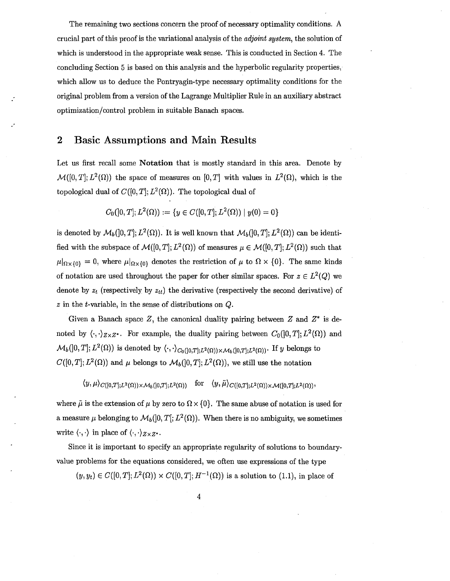The remaining two sections concern the proof of necessary optimality conditions. A crucial part of this proof is the variational analysis of the *adjoint system,* the solution of which is understood in the appropriate weak sense. This is conducted in Section 4. The concluding Section 5 is based on this analysis and the hyperbolic regularity properties, which allow us to deduce the Pontryagin-type necessary optimality conditions for the original problem from a version of the Lagrange Multiplier Rule in an auxiliary abstract optimization/control problem in suitable Banach spaces.

### **2 Basic Assumptions and Main Results**

Let us first recall some **Notation** that is mostly standard in this area. Denote by  $\mathcal{M}([0,T]; L^2(\Omega))$  the space of measures on  $[0,T]$  with values in  $L^2(\Omega)$ , which is the topological dual of  $C([0, T]; L^2(\Omega))$ . The topological dual of

$$
C_0(]0,T];L^2(\Omega)):=\{y\in C([0,T];L^2(\Omega))\mid y(0)=0\}
$$

is denoted by  $\mathcal{M}_b(]0,T]$ ;  $L^2(\Omega)$ ). It is well known that  $\mathcal{M}_b(]0,T]$ ;  $L^2(\Omega)$ ) can be identified with the subspace of  $\mathcal{M}([0, T]; L^2(\Omega))$  of measures  $\mu \in \mathcal{M}([0, T]; L^2(\Omega))$  such that  $\mu|_{\Omega\times\{0\}} = 0$ , where  $\mu|_{\Omega\times\{0\}}$  denotes the restriction of  $\mu$  to  $\Omega\times\{0\}$ . The same kinds of notation are used throughout the paper for other similar spaces. For  $z \in L^2(Q)$  we denote by  $z_t$  (respectively by  $z_{tt}$ ) the derivative (respectively the second derivative) of *z* in the t-variable, in the sense of distributions on Q.

Given a Banach space Z, the canonical duality pairing between  $Z$  and  $Z^*$  is denoted by  $\langle \cdot, \cdot \rangle_{Z \times Z^*}$ . For example, the duality pairing between  $C_0([0, T]; L^2(\Omega))$  and  $\mathcal{M}_b(]0,T]; L^2(\Omega)$  is denoted by  $\langle \cdot, \cdot \rangle_{C_0([0,T];L^2(\Omega)) \times \mathcal{M}_b([0,T];L^2(\Omega))}$ . If *y* belongs to  $C([0, T]; L^2(\Omega))$  and  $\mu$  belongs to  $\mathcal{M}_b([0, T]; L^2(\Omega))$ , we still use the notation

 $\langle y, \mu \rangle_{C([0,T];L^2(\Omega)) \times M_b([0,T];L^2(\Omega))}$  for  $\langle y, \tilde{\mu} \rangle_{C([0,T];L^2(\Omega)) \times M([0,T];L^2(\Omega))},$ 

where  $\tilde{\mu}$  is the extension of  $\mu$  by zero to  $\Omega \times \{0\}$ . The same abuse of notation is used for a measure  $\mu$  belonging to  $\mathcal{M}_b(]0,T[;L^2(\Omega))$ . When there is no ambiguity, we sometimes write  $\langle \cdot, \cdot \rangle$  in place of  $\langle \cdot, \cdot \rangle_{Z \times Z^*}.$ 

Since it is important to specify an appropriate regularity of solutions to boundaryvalue problems for the equations considered, we often use expressions of the type

 $(y, y_t) \in C([0, T]; L^2(\Omega)) \times C([0, T]; H^{-1}(\Omega))$  is a solution to (1.1), in place of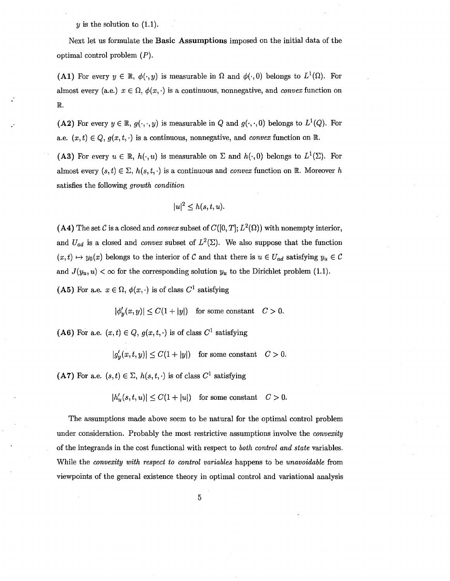$y$  is the solution to  $(1.1)$ .

.·

Next let us formulate the **Basic Assumptions** imposed on the initial data of the optimal control problem  $(P)$ .

**(A1)** For every  $y \in \mathbb{R}$ ,  $\phi(\cdot, y)$  is measurable in  $\Omega$  and  $\phi(\cdot, 0)$  belongs to  $L^1(\Omega)$ . For almost every (a.e.)  $x \in \Omega$ ,  $\phi(x, \cdot)$  is a continuous, nonnegative, and *convex* function on R

(A2) For every  $y \in \mathbb{R}$ ,  $g(\cdot, \cdot, y)$  is measurable in Q and  $g(\cdot, \cdot, 0)$  belongs to  $L^1(Q)$ . For a.e.  $(x, t) \in Q$ ,  $g(x, t, \cdot)$  is a continuous, nonnegative, and *convex* function on R.

**(A3)** For every  $u \in \mathbb{R}$ ,  $h(\cdot, u)$  is measurable on  $\Sigma$  and  $h(\cdot, 0)$  belongs to  $L^1(\Sigma)$ . For almost every  $(s, t) \in \Sigma$ ,  $h(s, t, \cdot)$  is a continuous and *convex* function on  $\mathbb{R}$ . Moreover *h* satisfies the following *growth condition* 

$$
|u|^2\leq h(s,t,u).
$$

(A4) The set C is a closed and *convex* subset of  $C([0, T]; L^2(\Omega))$  with nonempty interior, and  $U_{ad}$  is a closed and *convex* subset of  $L^2(\Sigma)$ . We also suppose that the function  $(x, t) \mapsto y_0(x)$  belongs to the interior of *C* and that there is  $u \in U_{ad}$  satisfying  $y_u \in C$ and  $J(y_u, u) < \infty$  for the corresponding solution  $y_u$  to the Dirichlet problem (1.1).

**(A5)** For a.e.  $x \in \Omega$ ,  $\phi(x, \cdot)$  is of class  $C^1$  satisfying

 $|\phi'_{\nu}(x, y)| \leq C(1 + |y|)$  for some constant  $C > 0$ .

**(A6)** For a.e.  $(x, t) \in Q$ ,  $g(x, t, \cdot)$  is of class  $C^1$  satisfying

 $|g'_v(x, t, y)| \leq C(1 + |y|)$  for some constant  $C > 0$ .

**(A7)** For a.e.  $(s, t) \in \Sigma$ ,  $h(s, t, \cdot)$  is of class  $C^1$  satisfying

 $|h'_u(s, t, u)| \leq C(1 + |u|)$  for some constant  $C > 0$ .

The assumptions made above seem to be natural for the optimal control problem under consideration. Probably the most restrictive assumptions involve the *convexity*  of the integrands in the cost functional with respect to *both control and state* variables. While the *convexity with respect to control variables* happens to be *unavoidable* from viewpoints of the general existence theory in optimal control and variational analysis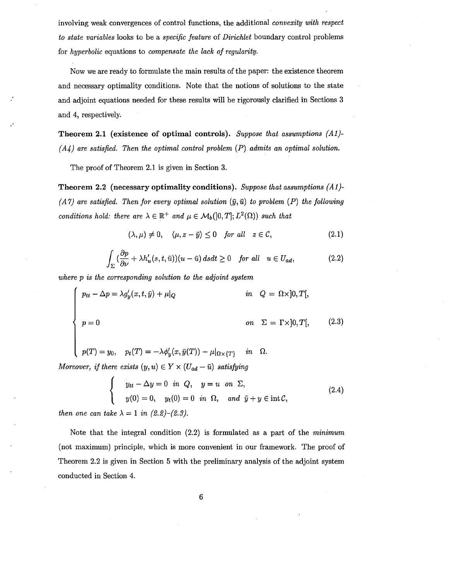involving weak convergences of control functions, the additional *convexity with respect to state variables* looks to be a *specific feature* of *Dirichlet* boundary control problems for *hyperbolic* equations to *compensate the lack of regularity.* 

Now we are ready to formulate the main results of the paper: the existence theorem and necessary optimality conditions. Note that the notions of solutions to the state and adjoint equations needed for these results will be rigorously clarified in Sections 3 and 4, respectively.

Theorem 2.1 (existence of optimal controls). *Suppose that assumptions {Al}- ( A4) are satisfied. Then the optimal control problem* (P) *admits an optimal solution.* 

The proof of Theorem 2.1 is given in Section 3.

Theorem 2.2 (necessary optimality conditions). *Suppose that assumptions {Al}-*  $(A \gamma)$  are satisfied. Then for every optimal solution  $(\bar{y}, \bar{u})$  to problem  $(P)$  the following *conditions hold: there are*  $\lambda \in \mathbb{R}^+$  *and*  $\mu \in M_b([0, T]; L^2(\Omega))$  *such that* 

$$
(\lambda, \mu) \neq 0, \quad \langle \mu, z - \bar{y} \rangle \leq 0 \quad \text{for all} \quad z \in \mathcal{C}, \tag{2.1}
$$

$$
\int_{\Sigma} \left(\frac{\partial p}{\partial \nu} + \lambda h_u'(s, t, \bar{u})\right)(u - \bar{u}) ds dt \ge 0 \quad \text{for all} \quad u \in U_{ad},\tag{2.2}
$$

*where p is the corresponding solution to the adjoint system* 

$$
p_{tt} - \Delta p = \lambda g'_y(x, t, \bar{y}) + \mu|_Q \qquad in \quad Q = \Omega \times ]0, T[,
$$
  
\n
$$
p = 0 \qquad on \quad \Sigma = \Gamma \times ]0, T[, \qquad (2.3)
$$

$$
p(T) = y_0, \quad p_t(T) = -\lambda \phi'_y(x, \bar{y}(T)) - \mu|_{\Omega \times \{T\}} \quad in \quad \Omega.
$$

*Moreover, if there exists*  $(y, u) \in Y \times (U_{ad} - \bar{u})$  *satisfying* 

$$
\begin{cases}\n y_{tt} - \Delta y = 0 & \text{in } Q, \quad y = u \quad \text{on } \Sigma, \\
y(0) = 0, \quad y_t(0) = 0 & \text{in } \Omega, \quad \text{and } \bar{y} + y \in \text{int } C,\n\end{cases}
$$
\n(2.4)

*then one can take*  $\lambda = 1$  *in (2.2)-(2.3).* 

Note that the integral condition (2.2) is formulated as a part of the *minimum*  (not maximum) principle, which is more convenient in our framework. The proof of Theorem 2.2 is given in Section 5 with the preliminary analysis of the adjoint system conducted in Section 4.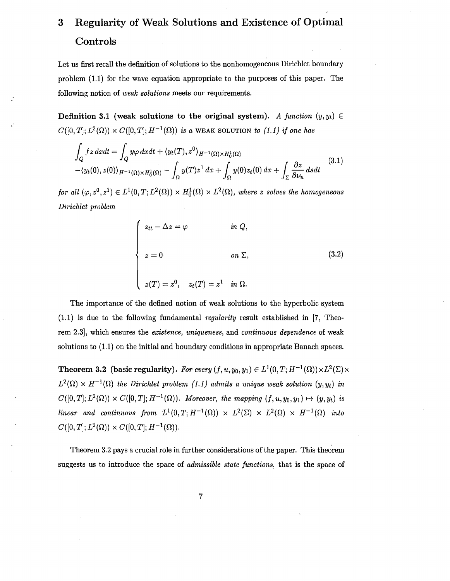## 3 Regularity of Weak Solutions and Existence of Optimal **Controls**

Let us first recall the definition of solutions to the nonhomogeneous Dirichlet boundary problem {1.1) for the wave equation appropriate to the purposes of this paper. The following notion of *weak solutions* meets our requirements.

Definition 3.1 (weak solutions to the original system). A function  $(y, y_t) \in$  $C([0, T]; L^2(\Omega)) \times C([0, T]; H^{-1}(\Omega))$  *is a* WEAK SOLUTION *to (1.1) if one has* 

$$
\int_{Q} f z \, dxdt = \int_{Q} y \varphi \, dxdt + \langle y_{t}(T), z^{0} \rangle_{H^{-1}(\Omega) \times H_{0}^{1}(\Omega)} - \langle y_{t}(0), z(0) \rangle_{H^{-1}(\Omega) \times H_{0}^{1}(\Omega)} - \int_{\Omega} y(T) z^{1} \, dx + \int_{\Omega} y(0) z_{t}(0) \, dx + \int_{\Sigma} \frac{\partial z}{\partial \nu_{u}} \, dsdt
$$
\n(3.1)

*for all*  $(\varphi, z^0, z^1) \in L^1(0,T; L^2(\Omega)) \times H_0^1(\Omega) \times L^2(\Omega)$ , where z solves the homogeneous *Dirichlet problem* 

$$
\begin{cases}\n z_{tt} - \Delta z = \varphi & \text{in } Q, \\
z = 0 & \text{on } \Sigma, \\
z(T) = z^0, \quad z_t(T) = z^1 \quad \text{in } \Omega.\n\end{cases}
$$
\n(3.2)

The importance of the defined notion of weak solutions to the hyperbolic system (1.1) is due to the following fundamental *regularity* result established in [7, Theorem 2.3), which ensures the *existence, uniqueness,* and *continuous dependence* of weak solutions to (1.1) on the initial and boundary conditions in appropriate Banach spaces.

**Theorem 3.2 (basic regularity).** For every  $(f, u, y_0, y_1) \in L^1(0, T; H^{-1}(\Omega)) \times L^2(\Sigma) \times$  $L^2(\Omega) \times H^{-1}(\Omega)$  the Dirichlet problem (1.1) admits a unique weak solution  $(y, y_t)$  in  $C([0, T]; L^2(\Omega)) \times C([0, T]; H^{-1}(\Omega))$ . Moreover, the mapping  $(f, u, y_0, y_1) \mapsto (y, y_t)$  is *linear and continuous from*  $L^1(0,T; H^{-1}(\Omega)) \times L^2(\Sigma) \times L^2(\Omega) \times H^{-1}(\Omega)$  into  $C([0,T];L^2(\Omega)) \times C([0,T];H^{-1}(\Omega)).$ 

Theorem 3.2 pays a crucial role in further considerations of the paper. This theorem suggests us to introduce the space of *admissible state functions,* that is the space of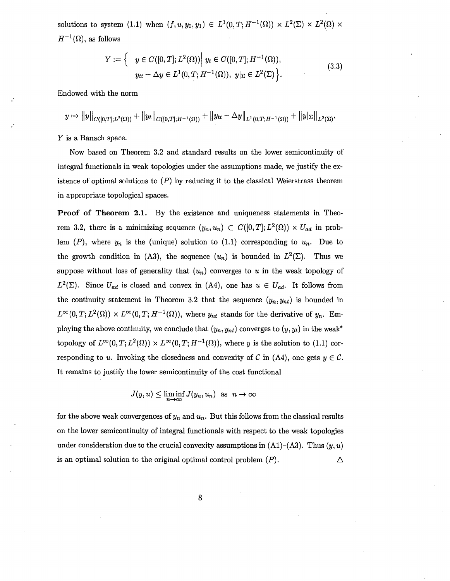solutions to system (1.1) when  $(f, u, y_0, y_1) \in L^1(0,T; H^{-1}(\Omega)) \times L^2(\Sigma) \times L^2(\Omega) \times$  $H^{-1}(\Omega)$ , as follows

$$
Y := \left\{ \quad y \in C([0, T]; L^{2}(\Omega)) \middle| \ y_{t} \in C([0, T]; H^{-1}(\Omega)), \n y_{tt} - \Delta y \in L^{1}(0, T; H^{-1}(\Omega)), \ y|_{\Sigma} \in L^{2}(\Sigma) \right\}.
$$
\n(3.3)

Endowed with the norm

$$
y \mapsto ||y||_{C([0,T];L^2(\Omega))} + ||y_t||_{C([0,T];H^{-1}(\Omega))} + ||y_{tt} - \Delta y||_{L^1(0,T;H^{-1}(\Omega))} + ||y|_{\Sigma}||_{L^2(\Sigma)},
$$

*Y* is a Banach space.

Now based on Theorem 3.2 and standard results on the lower semicontinuity of integral functionals in weak topologies under the assumptions made, we justify the existence of optimal solutions to  $(P)$  by reducing it to the classical Weierstrass theorem in appropriate topological spaces.

**Proof of Theorem 2.1.** By the existence and uniqueness statements in Theorem 3.2, there is a minimizing sequence  $(y_n, u_n) \subset C([0, T]; L^2(\Omega)) \times U_{ad}$  in problem  $(P)$ , where  $y_n$  is the (unique) solution to (1.1) corresponding to  $u_n$ . Due to the growth condition in (A3), the sequence  $(u_n)$  is bounded in  $L^2(\Sigma)$ . Thus we suppose without loss of generality that  $(u_n)$  converges to  $u$  in the weak topology of  $L^2(\Sigma)$ . Since  $U_{ad}$  is closed and convex in (A4), one has  $u \in U_{ad}$ . It follows from the continuity statement in Theorem 3.2 that the sequence  $(y_n, y_{nt})$  is bounded in  $L^{\infty}(0,T; L^{2}(\Omega)) \times L^{\infty}(0,T; H^{-1}(\Omega))$ , where  $y_{nt}$  stands for the derivative of  $y_{n}$ . Employing the above continuity, we conclude that  $(y_n, y_{nt})$  converges to  $(y, y_t)$  in the weak<sup>\*</sup> topology of  $L^{\infty}(0,T; L^2(\Omega)) \times L^{\infty}(0,T; H^{-1}(\Omega))$ , where *y* is the solution to (1.1) corresponding to *u*. Invoking the closedness and convexity of C in (A4), one gets  $y \in C$ . It remains to justify the lower semicontinuity of the cost functional

$$
J(y, u) \le \liminf_{n \to \infty} J(y_n, u_n) \text{ as } n \to \infty
$$

for the above weak convergences of  $y_n$  and  $u_n$ . But this follows from the classical results on the lower semicontinuity of integral functionals with respect to the weak topologies under consideration due to the crucial convexity assumptions in  $(A1)$ – $(A3)$ . Thus  $(y, u)$ is an optimal solution to the original optimal control problem (P). Δ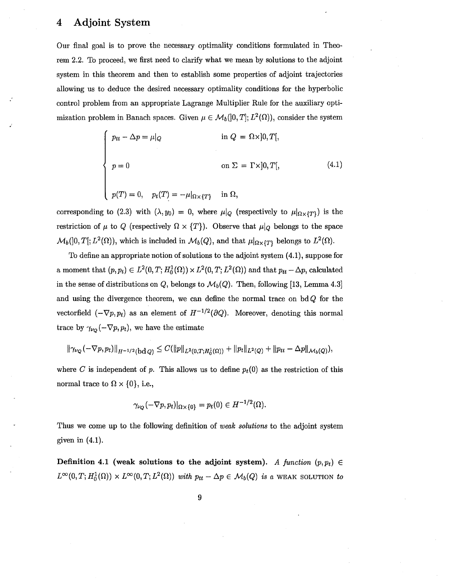### **4 Adjoint System**

Our final goal is to prove the necessary optimality conditions formulated in Theorem 2.2. To proceed, we first need to clarify what we mean by solutions to the adjoint system in this theorem and then to establish some properties of adjoint trajectories allowing us to deduce the desired necessary optimality conditions for the hyperbolic control problem from an appropriate Lagrange Multiplier Rule for the auxiliary optimization problem in Banach spaces. Given  $\mu \in \mathcal{M}_b(]0,T]; L^2(\Omega)$ , consider the system

$$
\begin{cases}\n p_{tt} - \Delta p = \mu|_Q & \text{in } Q = \Omega \times ]0, T[, \\
p = 0 & \text{on } \Sigma = \Gamma \times ]0, T[, \\
p(T) = 0, \quad p_t(T) = -\mu|_{\Omega \times \{T\}} & \text{in } \Omega,\n\end{cases}
$$
\n(4.1)

corresponding to (2.3) with  $(\lambda, y_0) = 0$ , where  $\mu|_Q$  (respectively to  $\mu|_{\Omega \times \{T\}}$ ) is the restriction of  $\mu$  to Q (respectively  $\Omega \times \{T\}$ ). Observe that  $\mu|_Q$  belongs to the space  $\mathcal{M}_b(]0,T[;L^2(\Omega)),$  which is included in  $\mathcal{M}_b(])$ , and that  $\mu|_{\Omega\times\{T\}}$  belongs to  $L^2(\Omega)$ .

To define an appropriate notion of solutions to the adjoint system  $(4.1)$ , suppose for a moment that  $(p, p_t) \in L^2(0, T; H_0^1(\Omega)) \times L^2(0, T; L^2(\Omega))$  and that  $p_{tt} - \Delta p$ , calculated in the sense of distributions on  $Q$ , belongs to  $\mathcal{M}_b(Q)$ . Then, following [13, Lemma 4.3] and using the divergence theorem, we can define the normal trace on  $\text{bd } Q$  for the vectorfield  $(-\nabla p, p_t)$  as an element of  $H^{-1/2}(\partial Q)$ . Moreover, denoting this normal trace by  $\gamma_{\nu_Q}(-\nabla p, p_t)$ , we have the estimate

$$
\|\gamma_{\nu_Q}(-\nabla p, p_t)\|_{H^{-1/2}(\text{bd }Q)} \leq C(\|p\|_{L^2(0,T;H^1_0(\Omega))} + \|p_t\|_{L^2(Q)} + \|p_{tt} - \Delta p\|_{\mathcal{M}_b(Q)}),
$$

where *C* is independent of *p*. This allows us to define  $p_t(0)$  as the restriction of this normal trace to  $\Omega \times \{0\}$ , i.e.,

$$
\gamma_{\nu_Q}(-\nabla p, p_t)|_{\Omega\times\{0\}} = p_t(0) \in H^{-1/2}(\Omega).
$$

Thus we come up to the following definition of *weak solutions* to the adjoint system given in  $(4.1)$ .

**Definition 4.1 (weak solutions to the adjoint system).** A function  $(p, p_t) \in$  $L^{\infty}(0,T; H_0^1(\Omega)) \times L^{\infty}(0,T; L^2(\Omega))$  *with*  $p_{tt}-\Delta p \in \mathcal{M}_b(Q)$  *is a* WEAK SOLUTION *to*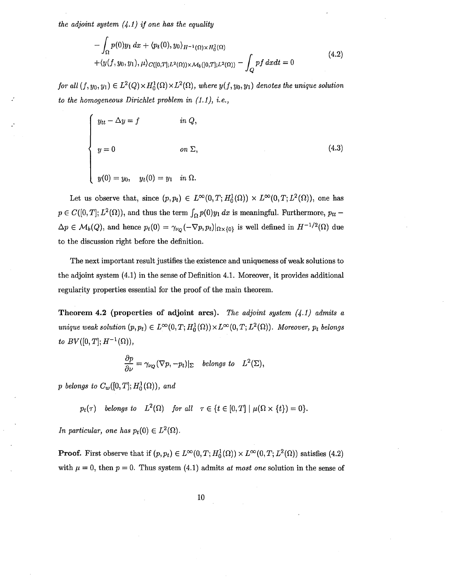*the adjoint system {4.1} if one has the equality* 

$$
-\int_{\Omega} p(0)y_1 dx + \langle p_t(0), y_0 \rangle_{H^{-1}(\Omega) \times H_0^1(\Omega)} +\langle y(f, y_0, y_1), \mu \rangle_{C([0,T];L^2(\Omega)) \times M_b([0,T];L^2(\Omega))} - \int_{\Omega} pf dx dt = 0
$$
\n(4.2)

*for all*  $(f, y_0, y_1) \in L^2(Q) \times H_0^1(\Omega) \times L^2(\Omega)$ , where  $y(f, y_0, y_1)$  denotes the unique solution *to the homogeneous Dirichlet problem in ( 1.1), i.e.,* 

$$
\begin{cases}\n y_{tt} - \Delta y = f & \text{in } Q, \\
y = 0 & \text{on } \Sigma, \\
y(0) = y_0, \quad y_t(0) = y_1 \quad \text{in } \Omega.\n\end{cases}
$$
\n(4.3)

Let us observe that, since  $(p, p_t) \in L^{\infty}(0,T; H_0^1(\Omega)) \times L^{\infty}(0,T; L^2(\Omega))$ , one has  $p \in C([0, T]; L^2(\Omega))$ , and thus the term  $\int_{\Omega} p(0)y_1 dx$  is meaningful. Furthermore,  $p_{tt}$  $\Delta p \in M_b(Q)$ , and hence  $p_t(0) = \gamma_{\nu_Q}(-\nabla p, p_t)|_{\Omega \times \{0\}}$  is well defined in  $H^{-1/2}(\Omega)$  due to the discussion right before the definition.

The next important result justifies the existence and uniqueness of weak solutions to the adjoint system (4.1) in the sense of Definition 4.1. Moreover, it provides additional regularity properties essential for the proof of the main theorem.

**Theorem 4.2 (properties of adjoint arcs).** *The adjoint system (4.1} admits a unique weak solution*  $(p, p_t) \in L^{\infty}(0, T; H_0^1(\Omega)) \times L^{\infty}(0, T; L^2(\Omega))$ . Moreover,  $p_t$  belongs *to*  $BV([0, T]; H^{-1}(\Omega)),$ 

$$
\frac{\partial p}{\partial \nu} = \gamma_{\nu_Q} (\nabla p, -p_t)|_{\Sigma} \quad belongs \ to \quad L^2(\Sigma),
$$

*p* belongs to  $C_w([0,T]; H_0^1(\Omega))$ , and

$$
p_t(\tau)
$$
 belongs to  $L^2(\Omega)$  for all  $\tau \in \{t \in [0,T] \mid \mu(\Omega \times \{t\}) = 0\}.$ 

*In particular, one has*  $p_t(0) \in L^2(\Omega)$ .

**Proof.** First observe that if  $(p, p_t) \in L^{\infty}(0, T; H_0^1(\Omega)) \times L^{\infty}(0, T; L^2(\Omega))$  satisfies (4.2) with  $\mu = 0$ , then  $p = 0$ . Thus system (4.1) admits *at most one* solution in the sense of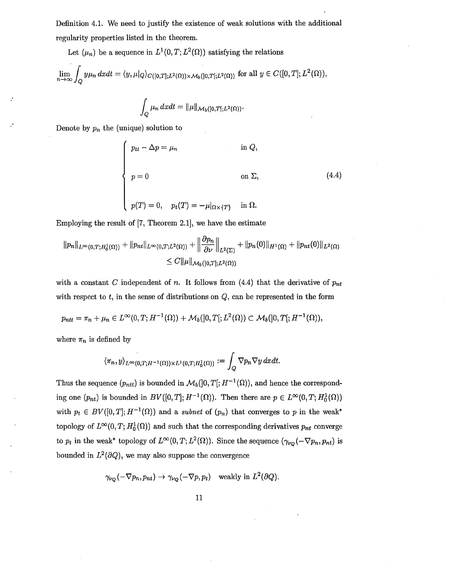Definition 4.1. We need to justify the existence of weak solutions with the additional regularity properties listed in the theorem.

Let  $(\mu_n)$  be a sequence in  $L^1(0,T; L^2(\Omega))$  satisfying the relations

$$
\lim_{n\to\infty}\int_{Q}y\mu_n\,dxdt=\langle y,\mu|_{Q}\rangle_{C([0,T];L^2(\Omega))\times\mathcal{M}_b([0,T];L^2(\Omega))}\text{ for all }y\in C([0,T];L^2(\Omega)),
$$

$$
\int_{Q} \mu_n \, dx dt = \|\mu\|_{\mathcal{M}_b([0,T[;L^2(\Omega))}.
$$

Denote by *Pn* the (unique) solution to

$$
\begin{cases}\n p_{tt} - \Delta p = \mu_n & \text{in } Q, \\
p = 0 & \text{on } \Sigma, \\
p(T) = 0, \quad p_t(T) = -\mu|_{\Omega \times \{T\}} & \text{in } \Omega.\n\end{cases}
$$
\n(4.4)

Employing the result of [7, Theorem 2.1], we have the estimate

$$
||p_n||_{L^{\infty}(0,T;H_0^1(\Omega))} + ||p_{nt}||_{L^{\infty}(0,T;L^2(\Omega))} + ||\frac{\partial p_n}{\partial \nu}||_{L^2(\Sigma)} + ||p_n(0)||_{H^1(\Omega)} + ||p_{nt}(0)||_{L^2(\Omega)}
$$
  

$$
\leq C||\mu||_{\mathcal{M}_b([0,T];L^2(\Omega))}
$$

with a constant *C* independent of *n*. It follows from  $(4.4)$  that the derivative of  $p_{nt}$ with respect to  $t$ , in the sense of distributions on  $Q$ , can be represented in the form

$$
p_{ntt} = \pi_n + \mu_n \in L^{\infty}(0, T; H^{-1}(\Omega)) + \mathcal{M}_b(]0, T[; L^2(\Omega)) \subset \mathcal{M}_b(]0, T[; H^{-1}(\Omega)),
$$

where  $\pi_n$  is defined by

$$
\langle \pi_n, y \rangle_{L^{\infty}(0,T;H^{-1}(\Omega)) \times L^1(0,T;H^1_0(\Omega))} := \int_Q \nabla p_n \nabla y \, dxdt.
$$

Thus the sequence  $(p_{ntt})$  is bounded in  $\mathcal{M}_b(]0,T[;H^{-1}(\Omega))$ , and hence the corresponding one  $(p_{nt})$  is bounded in  $BV([0,T]; H^{-1}(\Omega))$ . Then there are  $p \in L^{\infty}(0,T; H_0^1(\Omega))$ with  $p_t \in BV([0,T]; H^{-1}(\Omega))$  and a *subnet* of  $(p_n)$  that converges to p in the weak\* topology of  $L^{\infty}(0, T; H_0^1(\Omega))$  and such that the corresponding derivatives  $p_{nt}$  converge to  $p_t$  in the weak\* topology of  $L^{\infty}(0, T; L^2(\Omega))$ . Since the sequence  $(\gamma_{\nu_Q}(-\nabla p_n, p_{nt})$  is bounded in  $L^2(\partial Q)$ , we may also suppose the convergence

$$
\gamma_{\nu_Q}(-\nabla p_n, p_{nt}) \to \gamma_{\nu_Q}(-\nabla p, p_t)
$$
 weakly in  $L^2(\partial Q)$ .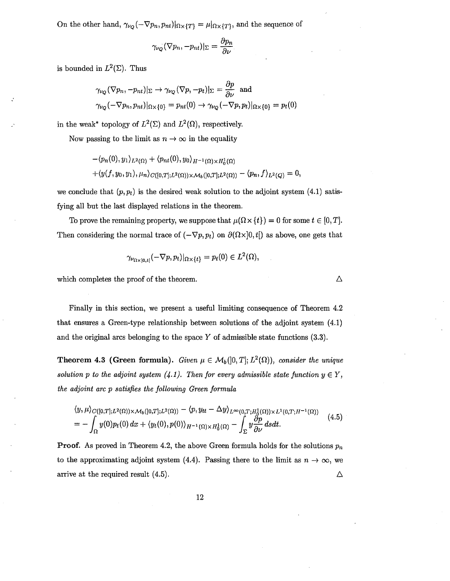On the other hand,  $\gamma_{\nu_Q}(-\nabla p_n, p_{nt})|_{\Omega\times\{T\}} = \mu|_{\Omega\times\{T\}}$ , and the sequence of

$$
\gamma_{\nu_Q}(\nabla p_n, -p_{nt})|_{\Sigma} = \frac{\partial p_n}{\partial \nu}
$$

is bounded in  $L^2(\Sigma)$ . Thus

$$
\gamma_{\nu_Q}(\nabla p_n, -p_{nt})|_{\Sigma} \to \gamma_{\nu_Q}(\nabla p, -p_t)|_{\Sigma} = \frac{\partial p}{\partial \nu} \text{ and}
$$
  

$$
\gamma_{\nu_Q}(-\nabla p_n, p_{nt})|_{\Omega \times \{0\}} = p_{nt}(0) \to \gamma_{\nu_Q}(-\nabla p, p_t)|_{\Omega \times \{0\}} = p_t(0)
$$

in the weak\* topology of  $L^2(\Sigma)$  and  $L^2(\Omega)$ , respectively.

Now passing to the limit as  $n \to \infty$  in the equality

$$
-\langle p_n(0), y_1 \rangle_{L^2(\Omega)} + \langle p_{nt}(0), y_0 \rangle_{H^{-1}(\Omega) \times H_0^1(\Omega)}
$$
  
+
$$
\langle y(f, y_0, y_1), \mu_n \rangle_{C([0,T];L^2(\Omega)) \times M_b([0,T];L^2(\Omega))} - \langle p_n, f \rangle_{L^2(Q)} = 0,
$$

we conclude that  $(p, p_t)$  is the desired weak solution to the adjoint system (4.1) satisfying all but the last displayed relations in the theorem.

To prove the remaining property, we suppose that  $\mu(\Omega \times \{t\}) = 0$  for some  $t \in [0, T]$ . Then considering the normal trace of  $(-\nabla p, p_t)$  on  $\partial(\Omega \times ]0, t]$  as above, one gets that

$$
\gamma_{\nu_{\Omega\times10. t\mathfrak{l}}}(-\nabla p, p_t)|_{\Omega\times\{t\}}=p_t(0)\in L^2(\Omega),
$$

which completes the proof of the theorem.

Finally in this section, we present a useful limiting consequence of Theorem 4.2 that ensures a Green-type relationship between solutions of the adjoint system (4.1) and the original arcs belonging to the space  $Y$  of admissible state functions  $(3.3)$ .

**Theorem 4.3 (Green formula).** *Given*  $\mu \in M_b(]0,T]$ ;  $L^2(\Omega)$ ), *consider the unique solution p to the adjoint system (4.1). Then for every admissible state function*  $y \in Y$ *, the adjoint arc p satisfies the following Green formula* 

$$
\langle y, \mu \rangle_{C([0,T];L^2(\Omega)) \times \mathcal{M}_b([0,T];L^2(\Omega))} - \langle p, y_{tt} - \Delta y \rangle_{L^{\infty}(0,T;H^1_0(\Omega)) \times L^1(0,T;H^{-1}(\Omega))}
$$
\n
$$
= - \int_{\Omega} y(0) p_t(0) dx + \langle y_t(0), p(0) \rangle_{H^{-1}(\Omega) \times H^1_0(\Omega)} - \int_{\Sigma} y \frac{\partial p}{\partial \nu} ds dt. \tag{4.5}
$$

**Proof.** As proved in Theorem 4.2, the above Green formula holds for the solutions  $p_n$ to the approximating adjoint system (4.4). Passing there to the limit as  $n \to \infty$ , we arrive at the required result (4.5). Δ

 $\Delta$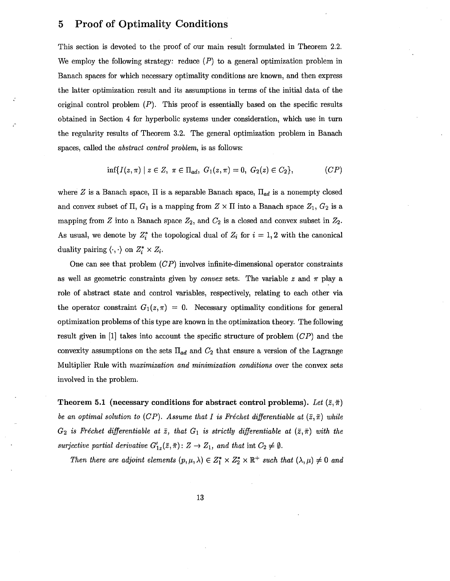### 5 Proof of Optimality Conditions

This section is devoted to the proof of our main result formulated in Theorem 2.2. We employ the following strategy: reduce  $(P)$  to a general optimization problem in Banach spaces for which necessary optimality conditions are known, and then express the latter optimization result and its assumptions in terms of the initial data of the original control problem  $(P)$ . This proof is essentially based on the specific results obtained in Section 4 for hyperbolic systems under consideration, which use in turn the regularity results of Theorem 3.2. The general optimization problem in Banach spaces, called the *abstract control problem,* is as follows:

$$
\inf\{I(z,\pi) \mid z \in Z, \ \pi \in \Pi_{ad}, \ G_1(z,\pi) = 0, \ G_2(z) \in C_2\},\tag{CP}
$$

where Z is a Banach space,  $\Pi$  is a separable Banach space,  $\Pi_{ad}$  is a nonempty closed and convex subset of  $\Pi$ ,  $G_1$  is a mapping from  $Z \times \Pi$  into a Banach space  $Z_1$ ,  $G_2$  is a mapping from Z into a Banach space  $Z_2$ , and  $C_2$  is a closed and convex subset in  $Z_2$ . As usual, we denote by  $Z_i^*$  the topological dual of  $Z_i$  for  $i = 1, 2$  with the canonical duality pairing  $\langle \cdot, \cdot \rangle$  on  $Z_i^* \times Z_i$ .

One can see that problem  $(CP)$  involves infinite-dimensional operator constraints as well as geometric constraints given by *convex* sets. The variable  $z$  and  $\pi$  play a role of abstract state and control variables, respectively, relating to each other via the operator constraint  $G_1(z,\pi) = 0$ . Necessary optimality conditions for general optimization problems of this type are known in the optimization theory. The following result given in  $[1]$  takes into account the specific structure of problem  $(CP)$  and the convexity assumptions on the sets  $\Pi_{ad}$  and  $C_2$  that ensure a version of the Lagrange Multiplier Rule with *maximization and minimization conditions* over the convex sets involved in the problem.

Theorem 5.1 (necessary conditions for abstract control problems). Let  $(\bar{z}, \bar{\pi})$ *be an optimal solution to (CP). Assume that I is Fréchet differentiable at*  $(\bar{z}, \bar{\pi})$  *while*  $G_2$  *is Fréchet differentiable at*  $\overline{z}$ , *that*  $G_1$  *is strictly differentiable at*  $(\overline{z}, \overline{\pi})$  *with the surjective partial derivative*  $G'_{1z}(\bar{z}, \bar{\pi})$ :  $Z \rightarrow Z_1$ , and that int  $C_2 \neq \emptyset$ .

*Then there are adjoint elements*  $(p, \mu, \lambda) \in Z_1^* \times Z_2^* \times \mathbb{R}^+$  *such that*  $(\lambda, \mu) \neq 0$  *and*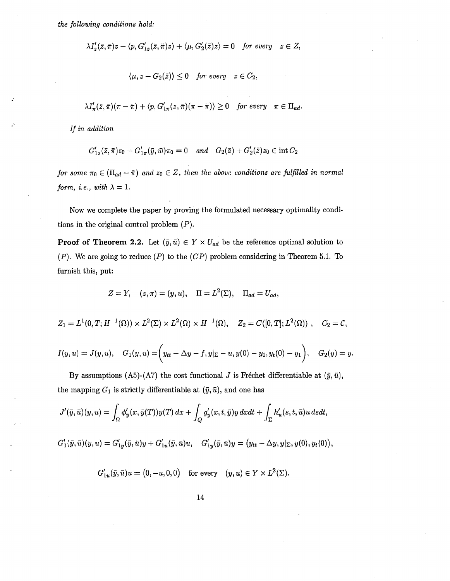*the following conditions hold:* 

$$
\lambda I_z'(\bar{z}, \bar{\pi})z + \langle p, G_{1z}'(\bar{z}, \bar{\pi})z \rangle + \langle \mu, G_2'(\bar{z})z \rangle = 0 \quad \text{for every} \quad z \in Z,
$$

$$
\langle \mu, z - G_2(\bar{z}) \rangle \leq 0 \quad \text{for every} \quad z \in C_2,
$$

$$
\lambda I'_{\pi}(\bar{z},\bar{\pi})(\pi-\bar{\pi})+\langle p,G'_{1\pi}(\bar{z},\bar{\pi})(\pi-\bar{\pi})\rangle\geq 0 \quad \text{for every} \quad \pi\in\Pi_{ad}.
$$

*If in addition* 

,'

$$
G'_{1z}(\bar{z}, \bar{\pi})z_0 + G'_{1\pi}(\bar{y}, \bar{w})\pi_0 = 0 \quad and \quad G_2(\bar{z}) + G'_2(\bar{z})z_0 \in \text{int } C_2
$$

*for some*  $\pi_0 \in (\Pi_{ad} - \overline{\pi})$  *and*  $z_0 \in Z$ , *then the above conditions are fulfilled in normal form, i.e., with*  $\lambda = 1$ .

Now we complete the paper by proving the formulated necessary optimality conditions in the original control problem  $(P)$ .

**Proof of Theorem 2.2.** Let  $(\bar{y}, \bar{u}) \in Y \times U_{ad}$  be the reference optimal solution to  $(P)$ . We are going to reduce  $(P)$  to the  $(CP)$  problem considering in Theorem 5.1. To furnish this, put:

$$
Z = Y, \quad (z, \pi) = (y, u), \quad \Pi = L^2(\Sigma), \quad \Pi_{ad} = U_{ad},
$$

 $Z_1 = L^1(0,T; H^{-1}(\Omega)) \times L^2(\Sigma) \times L^2(\Omega) \times H^{-1}(\Omega), \quad Z_2 = C([0,T]; L^2(\Omega)) , \quad C_2 = C,$ 

$$
I(y, u) = J(y, u), \quad G_1(y, u) = \left(y_{tt} - \Delta y - f, y|_{\Sigma} - u, y(0) - y_0, y_t(0) - y_1\right), \quad G_2(y) = y.
$$

By assumptions (A5)-(A7) the cost functional J is Fréchet differentiable at  $(\bar{y}, \bar{u})$ , the mapping  $G_1$  is strictly differentiable at  $(\bar{y}, \bar{u})$ , and one has

$$
J'(\bar{y}, \bar{u})(y, u) = \int_{\Omega} \phi'_y(x, \bar{y}(T))y(T) dx + \int_Q g'_y(x, t, \bar{y})y dxdt + \int_{\Sigma} h'_u(s, t, \bar{u})u dsdt,
$$
  

$$
G'_1(\bar{y}, \bar{u})(y, u) = G'_{1y}(\bar{y}, \bar{u})y + G'_{1u}(\bar{y}, \bar{u})u, \quad G'_{1y}(\bar{y}, \bar{u})y = (y_{tt} - \Delta y, y_{|\Sigma}, y(0), y_t(0)),
$$

$$
G'_{1u}(\bar{y}, \bar{u})u = (0, -u, 0, 0) \quad \text{for every} \quad (y, u) \in Y \times L^2(\Sigma).
$$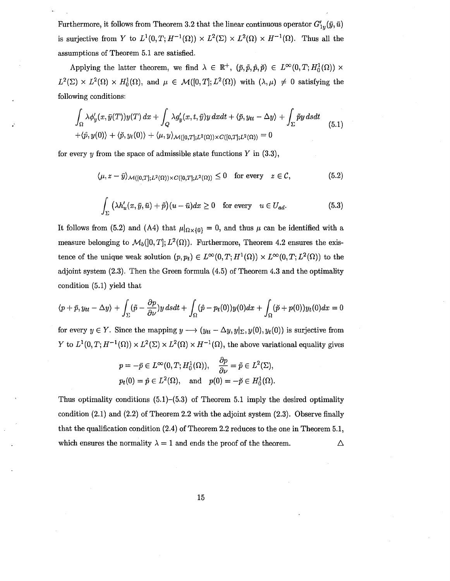Furthermore, it follows from Theorem 3.2 that the linear continuous operator  $G'_{1y}(\bar{y}, \bar{u})$ is surjective from Y to  $L^1(0,T;H^{-1}(\Omega)) \times L^2(\Sigma) \times L^2(\Omega) \times H^{-1}(\Omega)$ . Thus all the assumptions of Theorem 5.1 are satisfied.

Applying the latter theorem, we find  $\lambda \in \mathbb{R}^+$ ,  $(\bar{p}, \tilde{p}, \tilde{p}, \tilde{p}) \in L^{\infty}(0, T; H_0^1(\Omega)) \times$  $L^2(\Sigma) \times L^2(\Omega) \times H_0^1(\Omega)$ , and  $\mu \in \mathcal{M}([0,T];L^2(\Omega))$  with  $(\lambda,\mu) \neq 0$  satisfying the following conditions:

$$
\int_{\Omega} \lambda \phi'_y(x, \bar{y}(T)) y(T) dx + \int_{Q} \lambda g'_y(x, t, \bar{y}) y dx dt + \langle \bar{p}, y_{tt} - \Delta y \rangle + \int_{\Sigma} \tilde{p} y ds dt + \langle \hat{p}, y(0) \rangle + \langle \check{p}, y_t(0) \rangle + \langle \mu, y \rangle_{\mathcal{M}([0, T]; L^2(\Omega)) \times C([0, T]; L^2(\Omega))} = 0
$$
\n(5.1)

for every  $y$  from the space of admissible state functions  $Y$  in  $(3.3)$ ,

$$
\langle \mu, z - \bar{y} \rangle_{\mathcal{M}([0,T];L^2(\Omega)) \times C([0,T];L^2(\Omega))} \le 0 \quad \text{for every} \quad z \in \mathcal{C}, \tag{5.2}
$$

$$
\int_{\Sigma} \left( \lambda h_u'(x, \bar{y}, \bar{u}) + \tilde{p} \right) (u - \bar{u}) dx \ge 0 \quad \text{for every} \quad u \in U_{ad}.
$$
 (5.3)

It follows from (5.2) and (A4) that  $\mu|_{\Omega\times\{0\}}=0$ , and thus  $\mu$  can be identified with a measure belonging to  $\mathcal{M}_b([0,T]; L^2(\Omega))$ . Furthermore, Theorem 4.2 ensures the existence of the unique weak solution  $(p, p_t) \in L^{\infty}(0, T; H^1(\Omega)) \times L^{\infty}(0, T; L^2(\Omega))$  to the adjoint system (2.3). Then the Green formula ( 4.5) of Theorem 4.3 and the optimality condition (5.1) yield that

$$
\langle p + \bar{p}, y_{tt} - \Delta y \rangle + \int_{\Sigma} (\tilde{p} - \frac{\partial p}{\partial \nu}) y \, dsdt + \int_{\Omega} (\hat{p} - p_t(0)) y(0) dx + \int_{\Omega} (\tilde{p} + p(0)) y_t(0) dx = 0
$$

for every  $y \in Y$ . Since the mapping  $y \longrightarrow (y_{tt}-\Delta y, y|_{\Sigma}, y(0), y_t(0))$  is surjective from Y to  $L^1(0,T;H^{-1}(\Omega)) \times L^2(\Sigma) \times L^2(\Omega) \times H^{-1}(\Omega)$ , the above variational equality gives

$$
p = -\bar{p} \in L^{\infty}(0, T; H_0^1(\Omega)), \quad \frac{\partial p}{\partial \nu} = \tilde{p} \in L^2(\Sigma),
$$
  

$$
p_t(0) = \hat{p} \in L^2(\Omega), \quad \text{and} \quad p(0) = -\check{p} \in H_0^1(\Omega).
$$

Thus optimality conditions  $(5.1)$ – $(5.3)$  of Theorem 5.1 imply the desired optimality condition (2.1) and (2.2) of Theorem 2.2 with the adjoint system (2.3). Observe finally that the qualification condition (2.4) of Theorem 2.2 reduces to the one in Theorem 5.1, which ensures the normality  $\lambda = 1$  and ends the proof of the theorem. Δ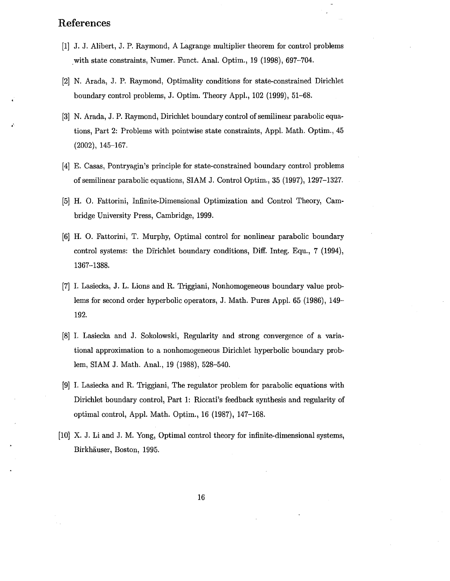### **References**

- [1] J. J. Alibert, J. P. Raymond, A Lagrange multiplier theorem for control problems with state constraints, Numer. Funct. Anal. Optim., 19 (1998), 697-704.
- [2] N. Arada, J. P. Raymond, Optimality conditions for state-constrained Dirichlet boundary control problems, J. Optim. Theory Appl., 102 (1999), 51-68.
- [3] N. Arada, J. P. Raymond, Dirichlet boundary control of semilinear parabolic equations, Part 2: Problems with pointwise state constraints, Appl. Math. Optim., 45 (2002), 145-167.
- [4] E. Casas, Pontryagin's principle for state-constrained boundary control problems of semilinear parabolic equations, SIAM J. Control Optim., 35 (1997), 1297-1327.
- [5] H. 0. Fattorini, Infinite-Dimensional Optimization and Control Theory, Cambridge University Press, Cambridge, 1999.
- [6] H. 0. Fattorini, T. Murphy, Optimal control for nonlinear parabolic boundary control systems: the Dirichlet boundary conditions, Diff. Integ. Equ., 7 (1994), 1367-1388.
- [7] I. Lasiecka, J. L. Lions and R. Triggiani, Nonhomogeneous boundary value problems for second order hyperbolic operators, J. Math. Pures Appl. 65 (1986), 149- 192.
- [8] I. Lasiecka and J. Sokolowski, Regularity and strong convergence of a variational approximation to a nonhomogeneous Dirichlet hyperbolic boundary problem, SIAM J. Math. Anal., 19 (1988), 528-540.
- [9] I. Lasiecka and R. Triggiani, The regulator problem for parabolic equations with Dirichlet boundary control, Part 1: Riccati's feedback synthesis and regularity of optimal control, Appl. Math. Optim., 16 (1987), 147-168.
- [10] X. J. Li and J. M. Yong, Optimal control theory for infinite-dimensional systems, Birkhauser, Boston, 1995.